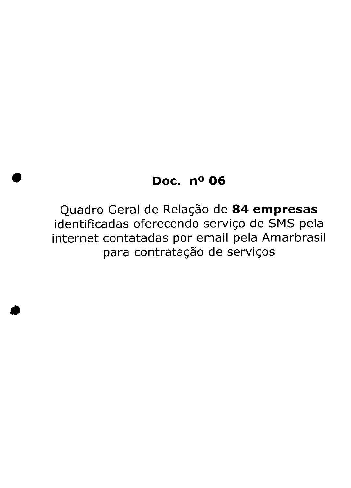## **Doe. n° 06**

Quadro Geral de Relação de **84 empresas** identificadas oferecendo serviço de SMS pela internet contatadas por email pela Amarbrasil para contratação de serviços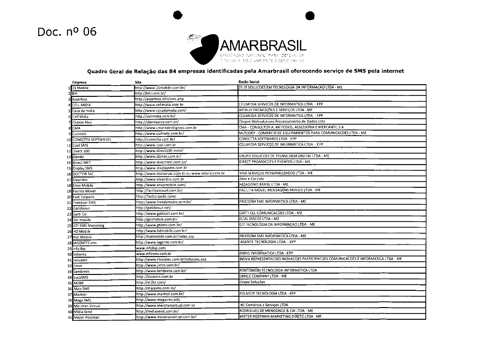## Doc. nº 06



## **Quadro Geral de Relação das 84 empresas identificadas pela Amarbrasil oferecendo serviço de SMS pela internet**

|                          | Empresa                  | Site                                             | Razão Social                                                                      |
|--------------------------|--------------------------|--------------------------------------------------|-----------------------------------------------------------------------------------|
|                          | 21 Mobile                | http://www.21mobile.com.br/                      | 21 ST SOLUCOES EM TECNOLOGIA DA INFORMACAO LTDA - ME                              |
|                          | $2$ BHI                  | http://bhi.com.br/                               |                                                                                   |
|                          | 3 Assertiva              | http://assertiva.info/sms.php                    |                                                                                   |
|                          | <b>CELL MIDIA</b>        | http://www.cellmidia.com.br                      | CELLMIDIA SERVICOS DE INFORMATICA LTDA. - EPP                                     |
|                          | Casa da midia            | http://www.casadamidia.com/                      | ARTHUS PROMOÇÕES E SERVIÇOS LTDA - ME                                             |
| 6                        | Cell Midia               | http://cellmidia.com.br/                         | CELLMIDIA SERVICOS DE INFORMATICA LTDA. - EPP                                     |
| $\overline{\phantom{a}}$ | Cliente Alvo             | http://clientealvo.com.br/                       | Onspot Websolutions Processamento de Dados Ltda                                   |
| 8                        | <b>CMA</b>               | http://www.cmaredesdigitais.com.br               | CMA - CONSULTORIA, METODOS, ASSESSORIA E MERCANTIL S.A                            |
|                          | 9 Comtele                | http://www.comtele.com.br/                       | MLTCORP - COMERCIO DE EQUIPAMENTOS PARA COMUNICACOES LTDA - ME                    |
|                          | 10 CONECTTA SOFTWARES    | http://conectta.com.br/                          | CONECTTA SOFTWARES LTDA - EPP                                                     |
|                          | 11 Cool SMS              | http://www.cool.com.br                           | CELLMIDIA SERVICOS DE INFORMATICA LTDA. - EPP                                     |
|                          | 12 Direct 100            | http://www.direct100.mobi/                       |                                                                                   |
|                          | 13 DBmkt                 | http://www.dbmkt.com.br/                         | GRUPO SOLUCOES DE TECNOLOGIA DIGITAL LTDA - ME                                    |
|                          | 14 Direct MKT            | http://www.directmkt.com.br/                     | DIRECT PROMOCOES E EVENTOS LTDA - ME                                              |
|                          | 15 Display SMS           | http://www.displaysms.com.br                     |                                                                                   |
|                          | 16 DOCTOR SAC            | http://www.doctorsac.com.br ou www.smsrio.com.br | MGB SERVIÇOS PERSONALIZADOS LTDA - ME                                             |
|                          | 17 Eleandro              | http://www.eleandro.com.br                       | Tersi e Cia Ltda                                                                  |
|                          | 18 Envo Mobile           | http://www.envomobile.com/                       | HEZAGONO BRASIL LTDA - ME                                                         |
|                          | 19 Facilita Movel        | http://facilitamovel.com.br/                     | FACILITA MOVEL MENSAGENS MOVEIS LTDA - ME                                         |
|                          | 20 Fast Torpedo          | http://fasttorpedo.com/                          |                                                                                   |
| 21                       | Freedom SMS              | http://www.freedomsms.com.br/                    | FREEDOM SMS INFORMATICA LTDA - ME                                                 |
|                          | 22 Gatideous             | http://gatideous.net/                            |                                                                                   |
| 23                       | Gatti Cel                | http://www.gatticell.com.br/                     | GATTI CEL COMUNICACOES LTDA - ME                                                  |
| 24                       | Gol mobile               | http://golmobile.com.br/                         | <b>GOAL DISCOS LTDA - ME</b>                                                      |
| 25                       | <b>GTI SMS Marketing</b> | http://www.gtisms.com.br/                        | GTI TECNOLOGIA DA INFORMACAO LTDA - ME                                            |
| 26                       | HD Mobile                | http://www.hdmobile.com.br/                      |                                                                                   |
|                          | 27 Hot Mobile            | http://hotmobile.com.br/index.asp                | FREEDOM SMS INFORMATICA LTDA - ME                                                 |
|                          | 28 IAGENTES sms          | http://www.iagente.com.br/                       | AGENTE TECNOLOGIA LTDA. - EPP                                                     |
|                          | 29 Info Bip              | www.infobip.com                                  |                                                                                   |
|                          | 30 Infosms               | www.infosms.com.br                               | DINFO INFORMATICA LTDA - EPP                                                      |
| 31                       | Inovatec                 | http://www.inovatec.com.br/solucoes.asp          | INOVA REPRESENTACOES INOVACOES PARTICIPACOES COMUNICACOES E INFORMATICA LTDA - ME |
|                          | 32 Jimm                  | http://www.jimm.com.br/                          |                                                                                   |
|                          | 33 Lembreto              | http://www.lembreto.com.br/                      | PONTOMOBI TECNOLOGIA INFORMÁTICA LTDA                                             |
|                          | 34 LocaSMS               | http://locasms.com.br                            | OFFICE COMPANY LTDA - ME                                                          |
|                          | 35 M2BR                  | http://m2br.com/                                 | Grupo Soluções                                                                    |
|                          | 36 Mais SMS              | http://maissms.com.br/                           |                                                                                   |
|                          | 37 Marktel               | http://www.marktel.com.br/                       | POLIVOIP TECNOLOGIA LTDA - EPP                                                    |
|                          | 38 Mega SMS              | http://www.megasms.info                          |                                                                                   |
|                          | 39 Merchan Virtual       | http://www.merchanvirtual.com.br                 | NC Comércio e Serviços LTDA                                                       |
|                          | 40 Midia Send            | http://midiasend.com.br/                         | RODRIGUES DE MENDONCA & CIA LTDA - ME                                             |
|                          | 41 Mister Postman        | http://www.misterpostman.com.br/                 | MISTER POSTMAN MARKETING DIRETO LTDA - ME                                         |